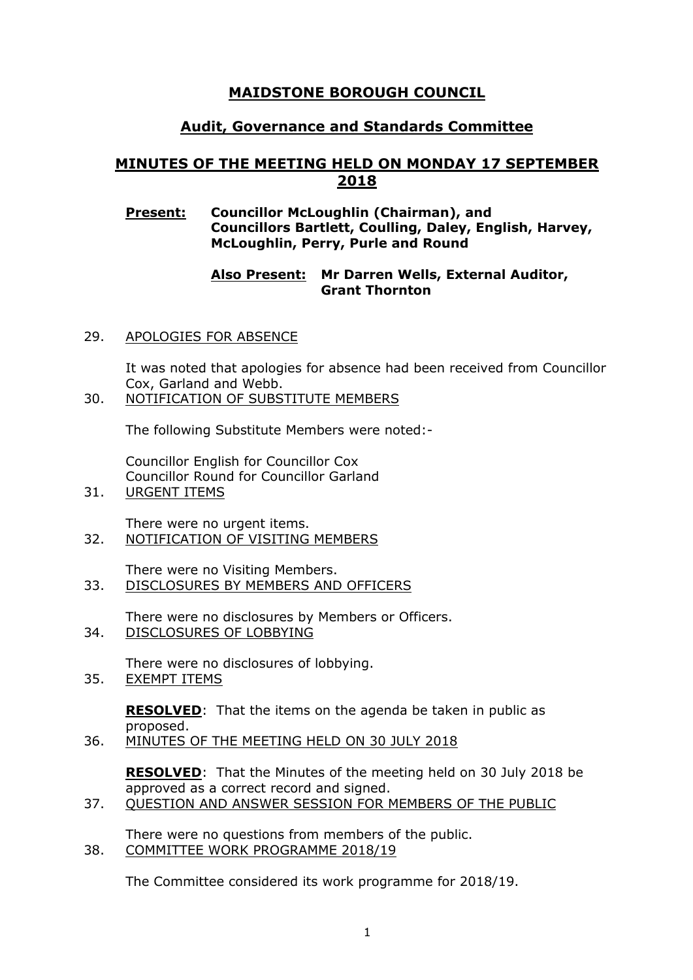# **MAIDSTONE BOROUGH COUNCIL**

# **Audit, Governance and Standards Committee**

# **MINUTES OF THE MEETING HELD ON MONDAY 17 SEPTEMBER 2018**

### **Present: Councillor McLoughlin (Chairman), and Councillors Bartlett, Coulling, Daley, English, Harvey, McLoughlin, Perry, Purle and Round**

### **Also Present: Mr Darren Wells, External Auditor, Grant Thornton**

29. APOLOGIES FOR ABSENCE

It was noted that apologies for absence had been received from Councillor Cox, Garland and Webb.

30. NOTIFICATION OF SUBSTITUTE MEMBERS

The following Substitute Members were noted:-

Councillor English for Councillor Cox Councillor Round for Councillor Garland

31. URGENT ITEMS

There were no urgent items.

- 32. NOTIFICATION OF VISITING MEMBERS
- There were no Visiting Members. 33. DISCLOSURES BY MEMBERS AND OFFICERS

There were no disclosures by Members or Officers.

34. DISCLOSURES OF LOBBYING

There were no disclosures of lobbying.

35. EXEMPT ITEMS

**RESOLVED**: That the items on the agenda be taken in public as proposed.

36. MINUTES OF THE MEETING HELD ON 30 JULY 2018

**RESOLVED**: That the Minutes of the meeting held on 30 July 2018 be approved as a correct record and signed.

37. QUESTION AND ANSWER SESSION FOR MEMBERS OF THE PUBLIC

There were no questions from members of the public.

38. COMMITTEE WORK PROGRAMME 2018/19

The Committee considered its work programme for 2018/19.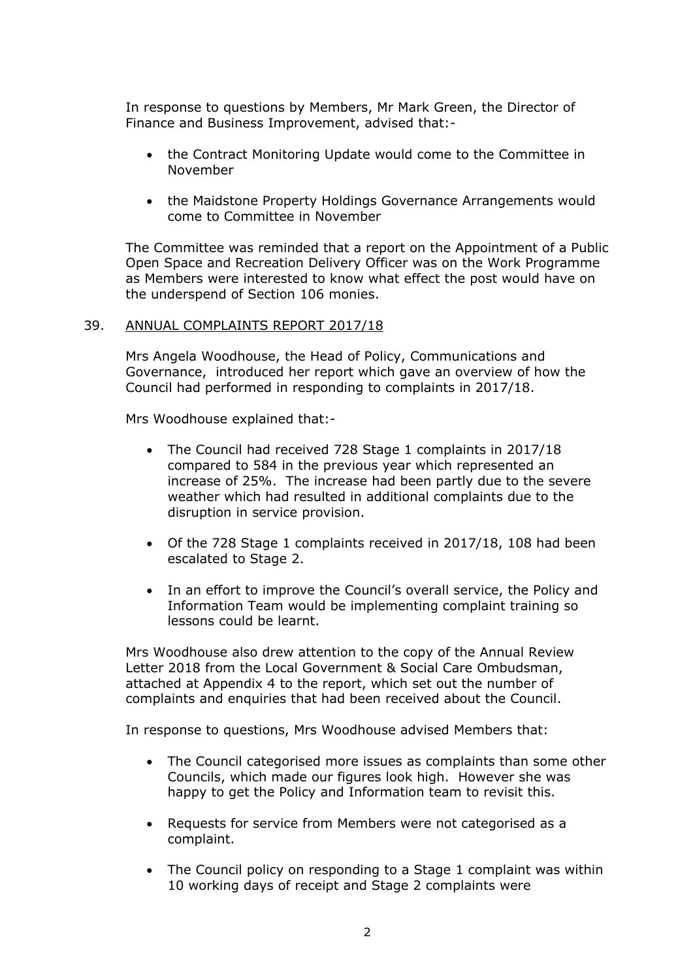In response to questions by Members, Mr Mark Green, the Director of Finance and Business Improvement, advised that:-

- the Contract Monitoring Update would come to the Committee in November
- the Maidstone Property Holdings Governance Arrangements would come to Committee in November

The Committee was reminded that a report on the Appointment of a Public Open Space and Recreation Delivery Officer was on the Work Programme as Members were interested to know what effect the post would have on the underspend of Section 106 monies.

#### 39. ANNUAL COMPLAINTS REPORT 2017/18

Mrs Angela Woodhouse, the Head of Policy, Communications and Governance, introduced her report which gave an overview of how the Council had performed in responding to complaints in 2017/18.

Mrs Woodhouse explained that:-

- The Council had received 728 Stage 1 complaints in 2017/18 compared to 584 in the previous year which represented an increase of 25%. The increase had been partly due to the severe weather which had resulted in additional complaints due to the disruption in service provision.
- Of the 728 Stage 1 complaints received in 2017/18, 108 had been escalated to Stage 2.
- In an effort to improve the Council's overall service, the Policy and Information Team would be implementing complaint training so lessons could be learnt.

Mrs Woodhouse also drew attention to the copy of the Annual Review Letter 2018 from the Local Government & Social Care Ombudsman, attached at Appendix 4 to the report, which set out the number of complaints and enquiries that had been received about the Council.

In response to questions, Mrs Woodhouse advised Members that:

- The Council categorised more issues as complaints than some other Councils, which made our figures look high. However she was happy to get the Policy and Information team to revisit this.
- Requests for service from Members were not categorised as a complaint.
- The Council policy on responding to a Stage 1 complaint was within 10 working days of receipt and Stage 2 complaints were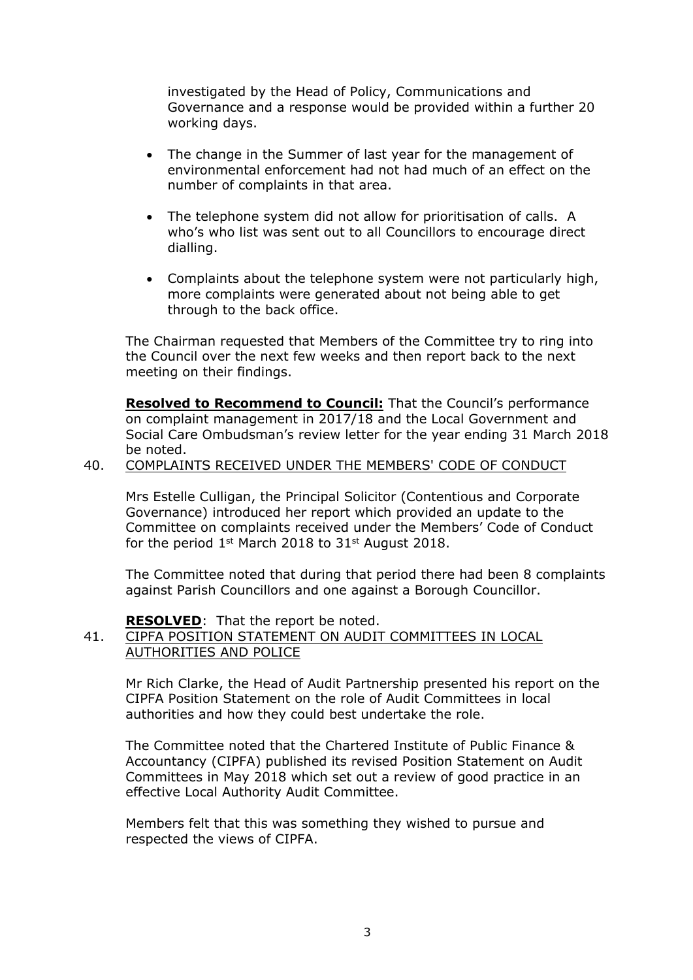investigated by the Head of Policy, Communications and Governance and a response would be provided within a further 20 working days.

- The change in the Summer of last year for the management of environmental enforcement had not had much of an effect on the number of complaints in that area.
- The telephone system did not allow for prioritisation of calls. A who's who list was sent out to all Councillors to encourage direct dialling.
- Complaints about the telephone system were not particularly high, more complaints were generated about not being able to get through to the back office.

The Chairman requested that Members of the Committee try to ring into the Council over the next few weeks and then report back to the next meeting on their findings.

**Resolved to Recommend to Council:** That the Council's performance on complaint management in 2017/18 and the Local Government and Social Care Ombudsman's review letter for the year ending 31 March 2018 be noted.

#### 40. COMPLAINTS RECEIVED UNDER THE MEMBERS' CODE OF CONDUCT

Mrs Estelle Culligan, the Principal Solicitor (Contentious and Corporate Governance) introduced her report which provided an update to the Committee on complaints received under the Members' Code of Conduct for the period 1<sup>st</sup> March 2018 to 31<sup>st</sup> August 2018.

The Committee noted that during that period there had been 8 complaints against Parish Councillors and one against a Borough Councillor.

**RESOLVED**: That the report be noted.

### 41. CIPFA POSITION STATEMENT ON AUDIT COMMITTEES IN LOCAL AUTHORITIES AND POLICE

Mr Rich Clarke, the Head of Audit Partnership presented his report on the CIPFA Position Statement on the role of Audit Committees in local authorities and how they could best undertake the role.

The Committee noted that the Chartered Institute of Public Finance & Accountancy (CIPFA) published its revised Position Statement on Audit Committees in May 2018 which set out a review of good practice in an effective Local Authority Audit Committee.

Members felt that this was something they wished to pursue and respected the views of CIPFA.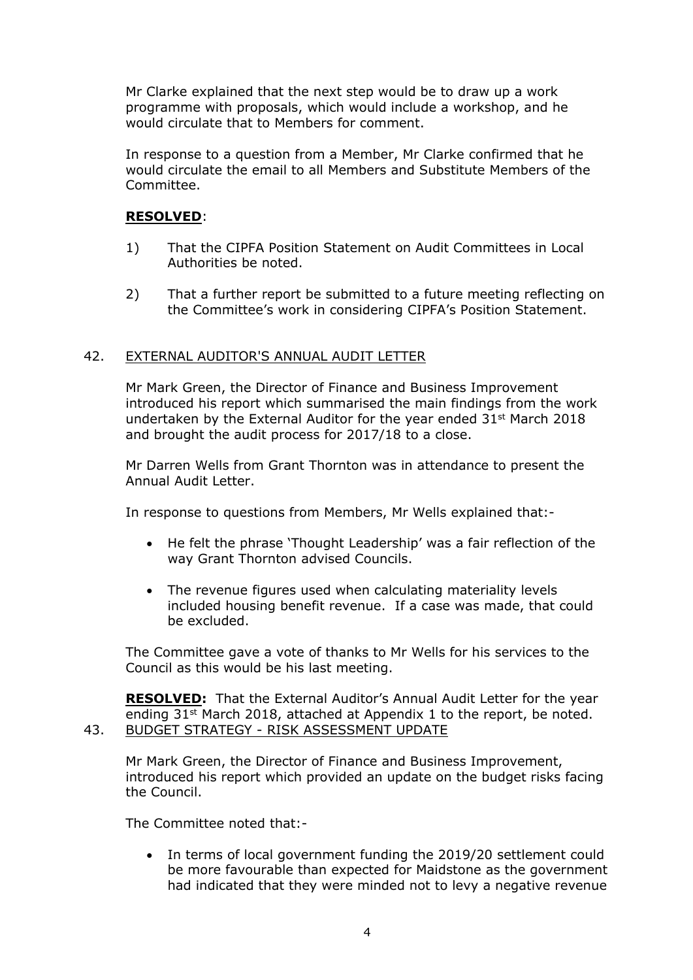Mr Clarke explained that the next step would be to draw up a work programme with proposals, which would include a workshop, and he would circulate that to Members for comment.

In response to a question from a Member, Mr Clarke confirmed that he would circulate the email to all Members and Substitute Members of the Committee.

## **RESOLVED**:

- 1) That the CIPFA Position Statement on Audit Committees in Local Authorities be noted.
- 2) That a further report be submitted to a future meeting reflecting on the Committee's work in considering CIPFA's Position Statement.

### 42. EXTERNAL AUDITOR'S ANNUAL AUDIT LETTER

Mr Mark Green, the Director of Finance and Business Improvement introduced his report which summarised the main findings from the work undertaken by the External Auditor for the year ended 31st March 2018 and brought the audit process for 2017/18 to a close.

Mr Darren Wells from Grant Thornton was in attendance to present the Annual Audit Letter.

In response to questions from Members, Mr Wells explained that:-

- He felt the phrase 'Thought Leadership' was a fair reflection of the way Grant Thornton advised Councils.
- The revenue figures used when calculating materiality levels included housing benefit revenue. If a case was made, that could be excluded.

The Committee gave a vote of thanks to Mr Wells for his services to the Council as this would be his last meeting.

**RESOLVED:** That the External Auditor's Annual Audit Letter for the year ending  $31^{st}$  March 2018, attached at Appendix 1 to the report, be noted. 43. BUDGET STRATEGY - RISK ASSESSMENT UPDATE

Mr Mark Green, the Director of Finance and Business Improvement, introduced his report which provided an update on the budget risks facing the Council.

The Committee noted that:-

 In terms of local government funding the 2019/20 settlement could be more favourable than expected for Maidstone as the government had indicated that they were minded not to levy a negative revenue